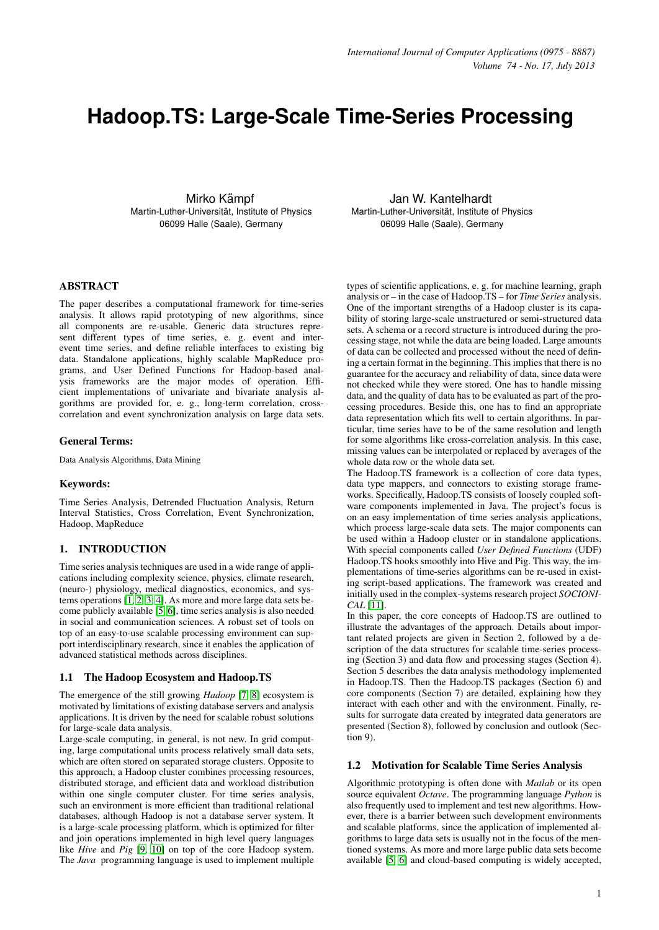# **Hadoop.TS: Large-Scale Time-Series Processing**

Mirko Kämpf Martin-Luther-Universitat, Institute of Physics ¨ 06099 Halle (Saale), Germany

Jan W. Kantelhardt Martin-Luther-Universität, Institute of Physics 06099 Halle (Saale), Germany

# ABSTRACT

The paper describes a computational framework for time-series analysis. It allows rapid prototyping of new algorithms, since all components are re-usable. Generic data structures represent different types of time series, e. g. event and interevent time series, and define reliable interfaces to existing big data. Standalone applications, highly scalable MapReduce programs, and User Defined Functions for Hadoop-based analysis frameworks are the major modes of operation. Efficient implementations of univariate and bivariate analysis algorithms are provided for, e. g., long-term correlation, crosscorrelation and event synchronization analysis on large data sets.

## General Terms:

Data Analysis Algorithms, Data Mining

#### Keywords:

Time Series Analysis, Detrended Fluctuation Analysis, Return Interval Statistics, Cross Correlation, Event Synchronization, Hadoop, MapReduce

## 1. INTRODUCTION

Time series analysis techniques are used in a wide range of applications including complexity science, physics, climate research, (neuro-) physiology, medical diagnostics, economics, and systems operations [\[1,](#page-6-0) [2,](#page-6-1) [3,](#page-6-2) [4\]](#page-6-3). As more and more large data sets become publicly available [\[5,](#page-6-4) [6\]](#page-6-5), time series analysis is also needed in social and communication sciences. A robust set of tools on top of an easy-to-use scalable processing environment can support interdisciplinary research, since it enables the application of advanced statistical methods across disciplines.

#### 1.1 The Hadoop Ecosystem and Hadoop.TS

The emergence of the still growing *Hadoop* [\[7,](#page-6-6) [8\]](#page-6-7) ecosystem is motivated by limitations of existing database servers and analysis applications. It is driven by the need for scalable robust solutions for large-scale data analysis.

Large-scale computing, in general, is not new. In grid computing, large computational units process relatively small data sets, which are often stored on separated storage clusters. Opposite to this approach, a Hadoop cluster combines processing resources, distributed storage, and efficient data and workload distribution within one single computer cluster. For time series analysis, such an environment is more efficient than traditional relational databases, although Hadoop is not a database server system. It is a large-scale processing platform, which is optimized for filter and join operations implemented in high level query languages like *Hive* and *Pig* [\[9,](#page-6-8) [10\]](#page-6-9) on top of the core Hadoop system. The *Java* programming language is used to implement multiple types of scientific applications, e. g. for machine learning, graph analysis or – in the case of Hadoop.TS – for *Time Series* analysis. One of the important strengths of a Hadoop cluster is its capability of storing large-scale unstructured or semi-structured data sets. A schema or a record structure is introduced during the processing stage, not while the data are being loaded. Large amounts of data can be collected and processed without the need of defining a certain format in the beginning. This implies that there is no guarantee for the accuracy and reliability of data, since data were not checked while they were stored. One has to handle missing data, and the quality of data has to be evaluated as part of the processing procedures. Beside this, one has to find an appropriate data representation which fits well to certain algorithms. In particular, time series have to be of the same resolution and length for some algorithms like cross-correlation analysis. In this case, missing values can be interpolated or replaced by averages of the whole data row or the whole data set.

The Hadoop.TS framework is a collection of core data types, data type mappers, and connectors to existing storage frameworks. Specifically, Hadoop.TS consists of loosely coupled software components implemented in Java. The project's focus is on an easy implementation of time series analysis applications, which process large-scale data sets. The major components can be used within a Hadoop cluster or in standalone applications. With special components called *User Defined Functions* (UDF) Hadoop.TS hooks smoothly into Hive and Pig. This way, the implementations of time-series algorithms can be re-used in existing script-based applications. The framework was created and initially used in the complex-systems research project *SOCIONI-CAL* [\[11\]](#page-6-10).

In this paper, the core concepts of Hadoop.TS are outlined to illustrate the advantages of the approach. Details about important related projects are given in Section 2, followed by a description of the data structures for scalable time-series processing (Section 3) and data flow and processing stages (Section 4). Section 5 describes the data analysis methodology implemented in Hadoop.TS. Then the Hadoop.TS packages (Section 6) and core components (Section 7) are detailed, explaining how they interact with each other and with the environment. Finally, results for surrogate data created by integrated data generators are presented (Section 8), followed by conclusion and outlook (Section 9).

#### 1.2 Motivation for Scalable Time Series Analysis

Algorithmic prototyping is often done with *Matlab* or its open source equivalent *Octave*. The programming language *Python* is also frequently used to implement and test new algorithms. However, there is a barrier between such development environments and scalable platforms, since the application of implemented algorithms to large data sets is usually not in the focus of the mentioned systems. As more and more large public data sets become available [\[5,](#page-6-4) [6\]](#page-6-5) and cloud-based computing is widely accepted,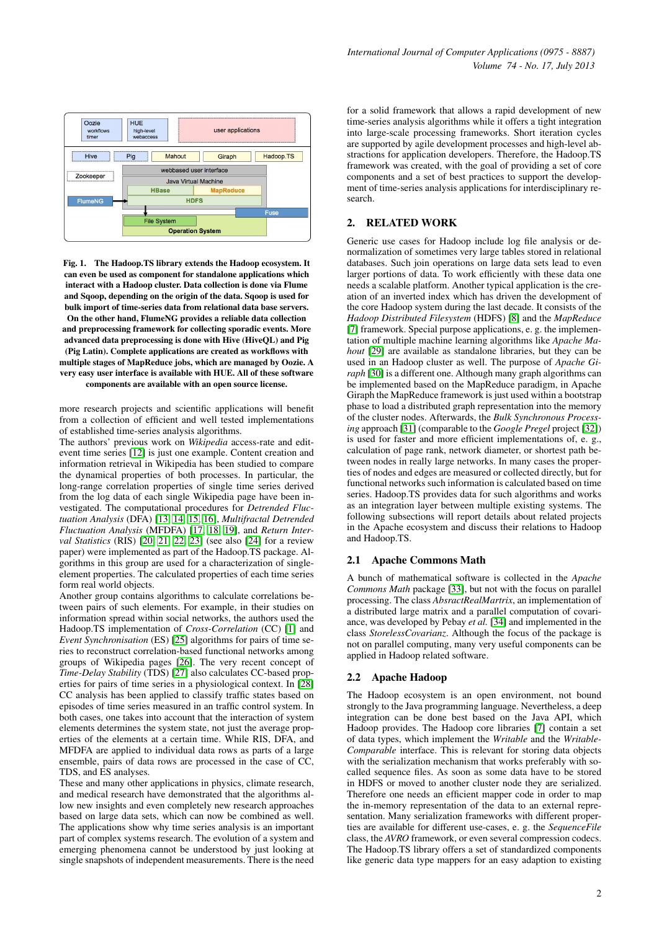

Fig. 1. The Hadoop.TS library extends the Hadoop ecosystem. It can even be used as component for standalone applications which interact with a Hadoop cluster. Data collection is done via Flume and Sqoop, depending on the origin of the data. Sqoop is used for bulk import of time-series data from relational data base servers. On the other hand, FlumeNG provides a reliable data collection and preprocessing framework for collecting sporadic events. More advanced data preprocessing is done with Hive (HiveQL) and Pig (Pig Latin). Complete applications are created as workflows with multiple stages of MapReduce jobs, which are managed by Oozie. A very easy user interface is available with HUE. All of these software components are available with an open source license.

more research projects and scientific applications will benefit from a collection of efficient and well tested implementations of established time-series analysis algorithms.

The authors' previous work on *Wikipedia* access-rate and editevent time series [\[12\]](#page-6-11) is just one example. Content creation and information retrieval in Wikipedia has been studied to compare the dynamical properties of both processes. In particular, the long-range correlation properties of single time series derived from the log data of each single Wikipedia page have been investigated. The computational procedures for *Detrended Fluctuation Analysis* (DFA) [\[13,](#page-6-12) [14,](#page-7-0) [15,](#page-7-1) [16\]](#page-7-2), *Multifractal Detrended Fluctuation Analysis* (MFDFA) [\[17,](#page-7-3) [18,](#page-7-4) [19\]](#page-7-5), and *Return Interval Statistics* (RIS) [\[20,](#page-7-6) [21,](#page-7-7) [22,](#page-7-8) [23\]](#page-7-9) (see also [\[24\]](#page-7-10) for a review paper) were implemented as part of the Hadoop.TS package. Algorithms in this group are used for a characterization of singleelement properties. The calculated properties of each time series form real world objects.

Another group contains algorithms to calculate correlations between pairs of such elements. For example, in their studies on information spread within social networks, the authors used the Hadoop.TS implementation of *Cross-Correlation* (CC) [\[1\]](#page-6-0) and *Event Synchronisation* (ES) [\[25\]](#page-7-11) algorithms for pairs of time series to reconstruct correlation-based functional networks among groups of Wikipedia pages [\[26\]](#page-7-12). The very recent concept of *Time-Delay Stability* (TDS) [\[27\]](#page-7-13) also calculates CC-based properties for pairs of time series in a physiological context. In [\[28\]](#page-7-14) CC analysis has been applied to classify traffic states based on episodes of time series measured in an traffic control system. In both cases, one takes into account that the interaction of system elements determines the system state, not just the average properties of the elements at a certain time. While RIS, DFA, and MFDFA are applied to individual data rows as parts of a large ensemble, pairs of data rows are processed in the case of CC, TDS, and ES analyses.

These and many other applications in physics, climate research, and medical research have demonstrated that the algorithms allow new insights and even completely new research approaches based on large data sets, which can now be combined as well. The applications show why time series analysis is an important part of complex systems research. The evolution of a system and emerging phenomena cannot be understood by just looking at single snapshots of independent measurements. There is the need

for a solid framework that allows a rapid development of new time-series analysis algorithms while it offers a tight integration into large-scale processing frameworks. Short iteration cycles are supported by agile development processes and high-level abstractions for application developers. Therefore, the Hadoop.TS framework was created, with the goal of providing a set of core components and a set of best practices to support the development of time-series analysis applications for interdisciplinary research.

## 2. RELATED WORK

Generic use cases for Hadoop include log file analysis or denormalization of sometimes very large tables stored in relational databases. Such join operations on large data sets lead to even larger portions of data. To work efficiently with these data one needs a scalable platform. Another typical application is the creation of an inverted index which has driven the development of the core Hadoop system during the last decade. It consists of the *Hadoop Distributed Filesystem* (HDFS) [\[8\]](#page-6-7) and the *MapReduce* [\[7\]](#page-6-6) framework. Special purpose applications, e. g. the implementation of multiple machine learning algorithms like *Apache Mahout* [\[29\]](#page-7-15) are available as standalone libraries, but they can be used in an Hadoop cluster as well. The purpose of *Apache Giraph* [\[30\]](#page-7-16) is a different one. Although many graph algorithms can be implemented based on the MapReduce paradigm, in Apache Giraph the MapReduce framework is just used within a bootstrap phase to load a distributed graph representation into the memory of the cluster nodes. Afterwards, the *Bulk Synchronous Processing* approach [\[31\]](#page-7-17) (comparable to the *Google Pregel* project [\[32\]](#page-7-18)) is used for faster and more efficient implementations of, e. g., calculation of page rank, network diameter, or shortest path between nodes in really large networks. In many cases the properties of nodes and edges are measured or collected directly, but for functional networks such information is calculated based on time series. Hadoop.TS provides data for such algorithms and works as an integration layer between multiple existing systems. The following subsections will report details about related projects in the Apache ecosystem and discuss their relations to Hadoop and Hadoop.TS.

## 2.1 Apache Commons Math

A bunch of mathematical software is collected in the *Apache Commons Math* package [\[33\]](#page-7-19), but not with the focus on parallel processing. The class *AbsractRealMartrix*, an implementation of a distributed large matrix and a parallel computation of covariance, was developed by Pebay *et al.* [\[34\]](#page-7-20) and implemented in the class *StorelessCovarianz*. Although the focus of the package is not on parallel computing, many very useful components can be applied in Hadoop related software.

## 2.2 Apache Hadoop

The Hadoop ecosystem is an open environment, not bound strongly to the Java programming language. Nevertheless, a deep integration can be done best based on the Java API, which Hadoop provides. The Hadoop core libraries [\[7\]](#page-6-6) contain a set of data types, which implement the *Writable* and the *Writable-Comparable* interface. This is relevant for storing data objects with the serialization mechanism that works preferably with socalled sequence files. As soon as some data have to be stored in HDFS or moved to another cluster node they are serialized. Therefore one needs an efficient mapper code in order to map the in-memory representation of the data to an external representation. Many serialization frameworks with different properties are available for different use-cases, e. g. the *SequenceFile* class, the *AVRO* framework, or even several compression codecs. The Hadoop.TS library offers a set of standardized components like generic data type mappers for an easy adaption to existing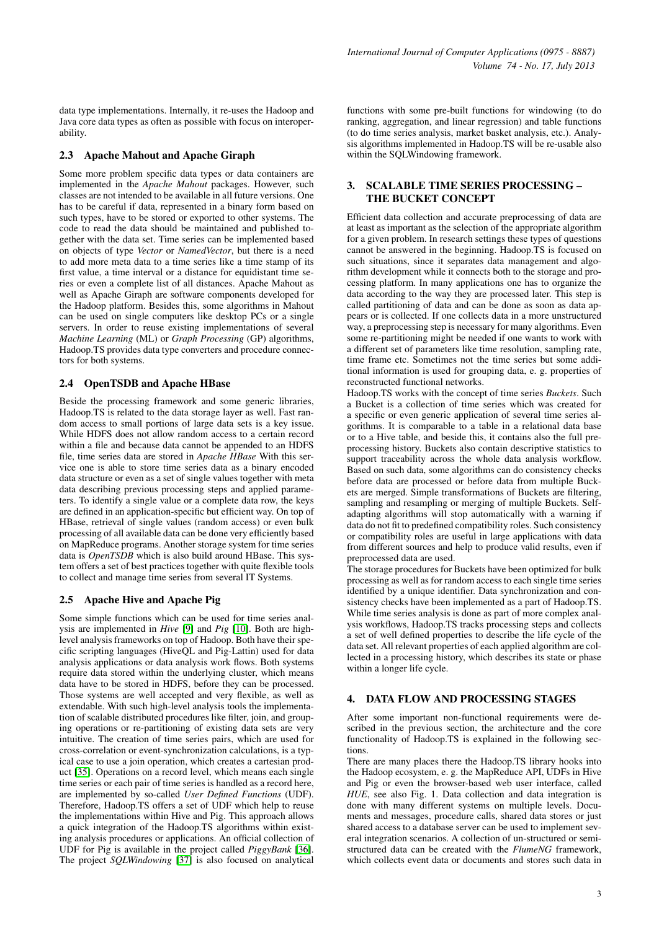data type implementations. Internally, it re-uses the Hadoop and Java core data types as often as possible with focus on interoperability.

## 2.3 Apache Mahout and Apache Giraph

Some more problem specific data types or data containers are implemented in the *Apache Mahout* packages. However, such classes are not intended to be available in all future versions. One has to be careful if data, represented in a binary form based on such types, have to be stored or exported to other systems. The code to read the data should be maintained and published together with the data set. Time series can be implemented based on objects of type *Vector* or *NamedVector*, but there is a need to add more meta data to a time series like a time stamp of its first value, a time interval or a distance for equidistant time series or even a complete list of all distances. Apache Mahout as well as Apache Giraph are software components developed for the Hadoop platform. Besides this, some algorithms in Mahout can be used on single computers like desktop PCs or a single servers. In order to reuse existing implementations of several *Machine Learning* (ML) or *Graph Processing* (GP) algorithms, Hadoop.TS provides data type converters and procedure connectors for both systems.

# 2.4 OpenTSDB and Apache HBase

Beside the processing framework and some generic libraries, Hadoop.TS is related to the data storage layer as well. Fast random access to small portions of large data sets is a key issue. While HDFS does not allow random access to a certain record within a file and because data cannot be appended to an HDFS file, time series data are stored in *Apache HBase* With this service one is able to store time series data as a binary encoded data structure or even as a set of single values together with meta data describing previous processing steps and applied parameters. To identify a single value or a complete data row, the keys are defined in an application-specific but efficient way. On top of HBase, retrieval of single values (random access) or even bulk processing of all available data can be done very efficiently based on MapReduce programs. Another storage system for time series data is *OpenTSDB* which is also build around HBase. This system offers a set of best practices together with quite flexible tools to collect and manage time series from several IT Systems.

# 2.5 Apache Hive and Apache Pig

Some simple functions which can be used for time series analysis are implemented in *Hive* [\[9\]](#page-6-8) and *Pig* [\[10\]](#page-6-9). Both are highlevel analysis frameworks on top of Hadoop. Both have their specific scripting languages (HiveQL and Pig-Lattin) used for data analysis applications or data analysis work flows. Both systems require data stored within the underlying cluster, which means data have to be stored in HDFS, before they can be processed. Those systems are well accepted and very flexible, as well as extendable. With such high-level analysis tools the implementation of scalable distributed procedures like filter, join, and grouping operations or re-partitioning of existing data sets are very intuitive. The creation of time series pairs, which are used for cross-correlation or event-synchronization calculations, is a typical case to use a join operation, which creates a cartesian product [\[35\]](#page-7-21). Operations on a record level, which means each single time series or each pair of time series is handled as a record here, are implemented by so-called *User Defined Functions* (UDF). Therefore, Hadoop.TS offers a set of UDF which help to reuse the implementations within Hive and Pig. This approach allows a quick integration of the Hadoop.TS algorithms within existing analysis procedures or applications. An official collection of UDF for Pig is available in the project called *PiggyBank* [\[36\]](#page-7-22). The project *SQLWindowing* [\[37\]](#page-7-23) is also focused on analytical

functions with some pre-built functions for windowing (to do ranking, aggregation, and linear regression) and table functions (to do time series analysis, market basket analysis, etc.). Analysis algorithms implemented in Hadoop.TS will be re-usable also within the SQLWindowing framework.

## 3. SCALABLE TIME SERIES PROCESSING – THE BUCKET CONCEPT

Efficient data collection and accurate preprocessing of data are at least as important as the selection of the appropriate algorithm for a given problem. In research settings these types of questions cannot be answered in the beginning. Hadoop.TS is focused on such situations, since it separates data management and algorithm development while it connects both to the storage and processing platform. In many applications one has to organize the data according to the way they are processed later. This step is called partitioning of data and can be done as soon as data appears or is collected. If one collects data in a more unstructured way, a preprocessing step is necessary for many algorithms. Even some re-partitioning might be needed if one wants to work with a different set of parameters like time resolution, sampling rate, time frame etc. Sometimes not the time series but some additional information is used for grouping data, e. g. properties of reconstructed functional networks.

Hadoop.TS works with the concept of time series *Buckets*. Such a Bucket is a collection of time series which was created for a specific or even generic application of several time series algorithms. It is comparable to a table in a relational data base or to a Hive table, and beside this, it contains also the full preprocessing history. Buckets also contain descriptive statistics to support traceability across the whole data analysis workflow. Based on such data, some algorithms can do consistency checks before data are processed or before data from multiple Buckets are merged. Simple transformations of Buckets are filtering, sampling and resampling or merging of multiple Buckets. Selfadapting algorithms will stop automatically with a warning if data do not fit to predefined compatibility roles. Such consistency or compatibility roles are useful in large applications with data from different sources and help to produce valid results, even if preprocessed data are used.

The storage procedures for Buckets have been optimized for bulk processing as well as for random access to each single time series identified by a unique identifier. Data synchronization and consistency checks have been implemented as a part of Hadoop.TS. While time series analysis is done as part of more complex analysis workflows, Hadoop.TS tracks processing steps and collects a set of well defined properties to describe the life cycle of the data set. All relevant properties of each applied algorithm are collected in a processing history, which describes its state or phase within a longer life cycle.

# 4. DATA FLOW AND PROCESSING STAGES

After some important non-functional requirements were described in the previous section, the architecture and the core functionality of Hadoop.TS is explained in the following sections.

There are many places there the Hadoop.TS library hooks into the Hadoop ecosystem, e. g. the MapReduce API, UDFs in Hive and Pig or even the browser-based web user interface, called *HUE*, see also Fig. 1. Data collection and data integration is done with many different systems on multiple levels. Documents and messages, procedure calls, shared data stores or just shared access to a database server can be used to implement several integration scenarios. A collection of un-structured or semistructured data can be created with the *FlumeNG* framework, which collects event data or documents and stores such data in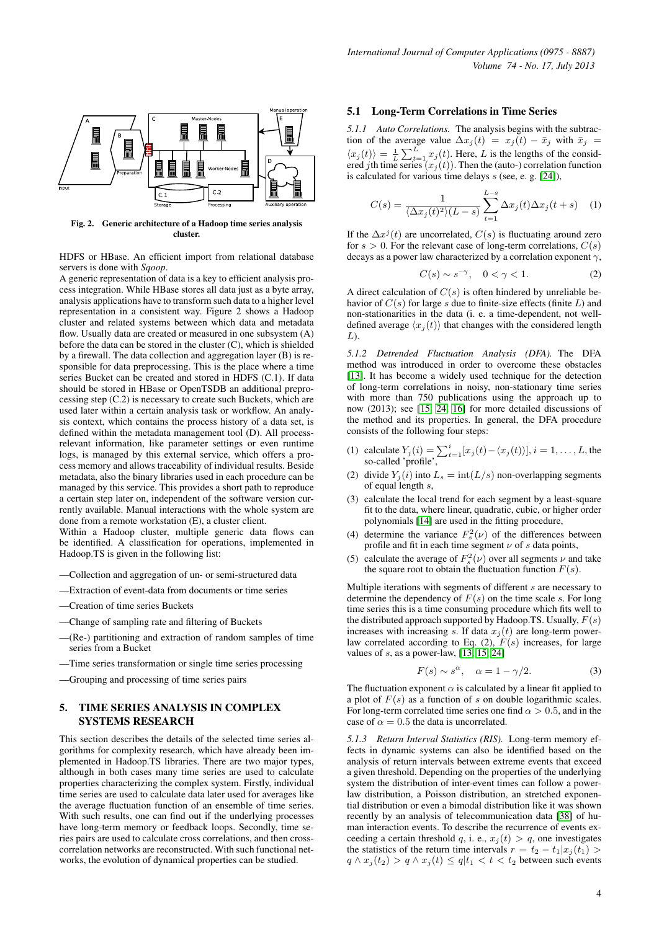

Fig. 2. Generic architecture of a Hadoop time series analysis cluster.

HDFS or HBase. An efficient import from relational database servers is done with *Sqoop*.

A generic representation of data is a key to efficient analysis process integration. While HBase stores all data just as a byte array, analysis applications have to transform such data to a higher level representation in a consistent way. Figure 2 shows a Hadoop cluster and related systems between which data and metadata flow. Usually data are created or measured in one subsystem (A) before the data can be stored in the cluster (C), which is shielded by a firewall. The data collection and aggregation layer (B) is responsible for data preprocessing. This is the place where a time series Bucket can be created and stored in HDFS (C.1). If data should be stored in HBase or OpenTSDB an additional preprocessing step (C.2) is necessary to create such Buckets, which are used later within a certain analysis task or workflow. An analysis context, which contains the process history of a data set, is defined within the metadata management tool (D). All processrelevant information, like parameter settings or even runtime logs, is managed by this external service, which offers a process memory and allows traceability of individual results. Beside metadata, also the binary libraries used in each procedure can be managed by this service. This provides a short path to reproduce a certain step later on, independent of the software version currently available. Manual interactions with the whole system are done from a remote workstation (E), a cluster client.

Within a Hadoop cluster, multiple generic data flows can be identified. A classification for operations, implemented in Hadoop.TS is given in the following list:

- —Collection and aggregation of un- or semi-structured data
- —Extraction of event-data from documents or time series
- —Creation of time series Buckets
- —Change of sampling rate and filtering of Buckets
- —(Re-) partitioning and extraction of random samples of time series from a Bucket
- —Time series transformation or single time series processing
- —Grouping and processing of time series pairs

## 5. TIME SERIES ANALYSIS IN COMPLEX SYSTEMS RESEARCH

This section describes the details of the selected time series algorithms for complexity research, which have already been implemented in Hadoop.TS libraries. There are two major types, although in both cases many time series are used to calculate properties characterizing the complex system. Firstly, individual time series are used to calculate data later used for averages like the average fluctuation function of an ensemble of time series. With such results, one can find out if the underlying processes have long-term memory or feedback loops. Secondly, time series pairs are used to calculate cross correlations, and then crosscorrelation networks are reconstructed. With such functional networks, the evolution of dynamical properties can be studied.

#### 5.1 Long-Term Correlations in Time Series

*5.1.1 Auto Correlations.* The analysis begins with the subtraction of the average value  $\Delta x_j(t) = x_j(t) - \bar{x}_j$  with  $\bar{x}_j$  $\langle x_j(t) \rangle = \frac{1}{L} \sum_{t=1}^L x_j(t)$ . Here, L is the lengths of the considered *j*th time series  $(x_j (t))$ . Then the (auto-) correlation function is calculated for various time delays  $s$  (see, e. g. [\[24\]](#page-7-10)),

$$
C(s) = \frac{1}{\langle \Delta x_j(t)^2 \rangle (L-s)} \sum_{t=1}^{L-s} \Delta x_j(t) \Delta x_j(t+s) \quad (1)
$$

If the  $\Delta x^{j}(t)$  are uncorrelated,  $C(s)$  is fluctuating around zero for  $s > 0$ . For the relevant case of long-term correlations,  $C(s)$ decays as a power law characterized by a correlation exponent  $\gamma$ ,

$$
C(s) \sim s^{-\gamma}, \quad 0 < \gamma < 1. \tag{2}
$$

A direct calculation of  $C(s)$  is often hindered by unreliable behavior of  $C(s)$  for large s due to finite-size effects (finite L) and non-stationarities in the data (i. e. a time-dependent, not welldefined average  $\langle x_i (t) \rangle$  that changes with the considered length  $L$ ).

*5.1.2 Detrended Fluctuation Analysis (DFA).* The DFA method was introduced in order to overcome these obstacles [\[13\]](#page-6-12). It has become a widely used technique for the detection of long-term correlations in noisy, non-stationary time series with more than 750 publications using the approach up to now (2013); see [\[15,](#page-7-1) [24,](#page-7-10) [16\]](#page-7-2) for more detailed discussions of the method and its properties. In general, the DFA procedure consists of the following four steps:

- (1) calculate  $Y_j(i) = \sum_{t=1}^i [x_j(t) \langle x_j(t) \rangle], i = 1, \dots, L$ , the so-called 'profile',
- (2) divide  $Y_j(i)$  into  $L_s = \text{int}(L/s)$  non-overlapping segments of equal length s,
- (3) calculate the local trend for each segment by a least-square fit to the data, where linear, quadratic, cubic, or higher order polynomials [\[14\]](#page-7-0) are used in the fitting procedure,
- (4) determine the variance  $F_s^2(\nu)$  of the differences between profile and fit in each time segment  $\nu$  of s data points,
- (5) calculate the average of  $F_s^2(\nu)$  over all segments  $\nu$  and take the square root to obtain the fluctuation function  $F(s)$ .

Multiple iterations with segments of different s are necessary to determine the dependency of  $F(s)$  on the time scale s. For long time series this is a time consuming procedure which fits well to the distributed approach supported by Hadoop.TS. Usually,  $F(s)$ increases with increasing s. If data  $x_j(t)$  are long-term powerlaw correlated according to Eq. (2),  $F(s)$  increases, for large values of  $s$ , as a power-law,  $[13, 15, 24]$  $[13, 15, 24]$  $[13, 15, 24]$ 

$$
F(s) \sim s^{\alpha}, \quad \alpha = 1 - \gamma/2. \tag{3}
$$

The fluctuation exponent  $\alpha$  is calculated by a linear fit applied to a plot of  $F(s)$  as a function of s on double logarithmic scales. For long-term correlated time series one find  $\alpha > 0.5$ , and in the case of  $\alpha = 0.5$  the data is uncorrelated.

*5.1.3 Return Interval Statistics (RIS).* Long-term memory effects in dynamic systems can also be identified based on the analysis of return intervals between extreme events that exceed a given threshold. Depending on the properties of the underlying system the distribution of inter-event times can follow a powerlaw distribution, a Poisson distribution, an stretched exponential distribution or even a bimodal distribution like it was shown recently by an analysis of telecommunication data [\[38\]](#page-7-24) of human interaction events. To describe the recurrence of events exceeding a certain threshold q, i. e.,  $x_j(t) > q$ , one investigates the statistics of the return time intervals  $r = t_2 - t_1 |x_i(t_1) >$  $q \wedge x_j(t_2) > q \wedge x_j(t) \le q \mid t_1 < t < t_2$  between such events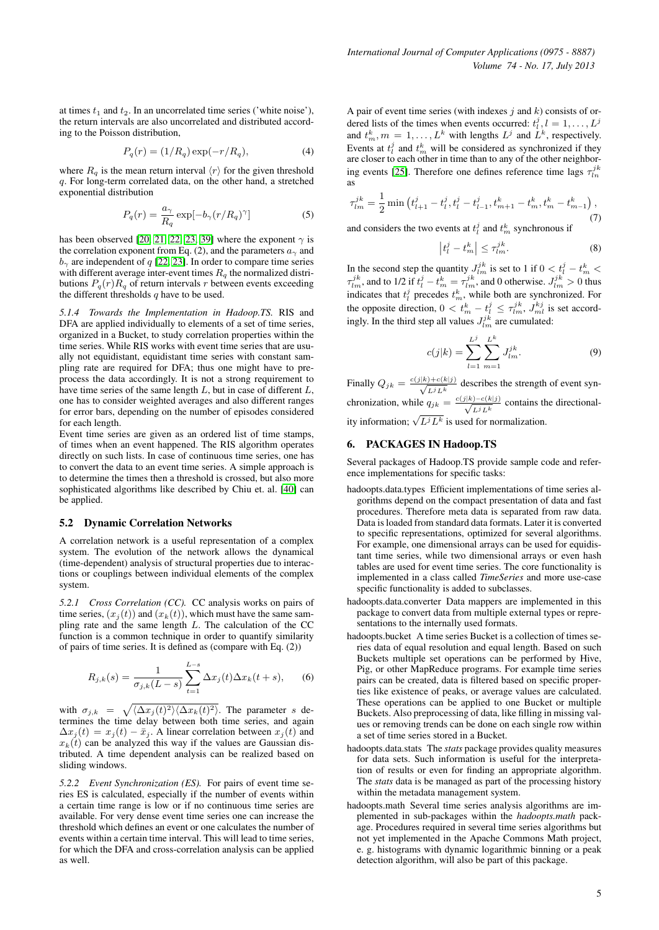at times  $t_1$  and  $t_2$ . In an uncorrelated time series ('white noise'), the return intervals are also uncorrelated and distributed according to the Poisson distribution,

$$
P_q(r) = (1/R_q) \exp(-r/R_q), \tag{4}
$$

where  $R_q$  is the mean return interval  $\langle r \rangle$  for the given threshold q. For long-term correlated data, on the other hand, a stretched exponential distribution

$$
P_q(r) = \frac{a_\gamma}{R_q} \exp[-b_\gamma (r/R_q)^\gamma]
$$
 (5)

has been observed [\[20,](#page-7-6) [21,](#page-7-7) [22,](#page-7-8) [23,](#page-7-9) [39\]](#page-7-25) where the exponent  $\gamma$  is the correlation exponent from Eq. (2), and the parameters  $a_{\gamma}$  and  $b<sub>γ</sub>$  are independent of q [\[22,](#page-7-8) [23\]](#page-7-9). In order to compare time series with different average inter-event times  $R_q$  the normalized distributions  $P_q(r)R_q$  of return intervals r between events exceeding the different thresholds  $q$  have to be used.

*5.1.4 Towards the Implementation in Hadoop.TS.* RIS and DFA are applied individually to elements of a set of time series, organized in a Bucket, to study correlation properties within the time series. While RIS works with event time series that are usually not equidistant, equidistant time series with constant sampling rate are required for DFA; thus one might have to preprocess the data accordingly. It is not a strong requirement to have time series of the same length  $L$ , but in case of different  $L$ , one has to consider weighted averages and also different ranges for error bars, depending on the number of episodes considered for each length.

Event time series are given as an ordered list of time stamps, of times when an event happened. The RIS algorithm operates directly on such lists. In case of continuous time series, one has to convert the data to an event time series. A simple approach is to determine the times then a threshold is crossed, but also more sophisticated algorithms like described by Chiu et. al. [\[40\]](#page-7-26) can be applied.

#### 5.2 Dynamic Correlation Networks

A correlation network is a useful representation of a complex system. The evolution of the network allows the dynamical (time-dependent) analysis of structural properties due to interactions or couplings between individual elements of the complex system.

*5.2.1 Cross Correlation (CC).* CC analysis works on pairs of time series,  $(x_i(t))$  and  $(x_k(t))$ , which must have the same sampling rate and the same length L. The calculation of the CC function is a common technique in order to quantify similarity of pairs of time series. It is defined as (compare with Eq. (2))

$$
R_{j,k}(s) = \frac{1}{\sigma_{j,k}(L-s)} \sum_{t=1}^{L-s} \Delta x_j(t) \Delta x_k(t+s), \quad (6)
$$

with  $\sigma_{j,k} = \sqrt{\langle \Delta x_j(t)^2 \rangle \langle \Delta x_k(t)^2 \rangle}$ . The parameter s determines the time delay between both time series, and again  $\Delta x_j(t) = x_j(t) - \bar{x}_j$ . A linear correlation between  $x_j(t)$  and  $x_k(t)$  can be analyzed this way if the values are Gaussian distributed. A time dependent analysis can be realized based on sliding windows.

*5.2.2 Event Synchronization (ES).* For pairs of event time series ES is calculated, especially if the number of events within a certain time range is low or if no continuous time series are available. For very dense event time series one can increase the threshold which defines an event or one calculates the number of events within a certain time interval. This will lead to time series, for which the DFA and cross-correlation analysis can be applied as well.

A pair of event time series (with indexes  $j$  and  $k$ ) consists of ordered lists of the times when events occurred:  $t_l^j$ ,  $l = 1, \ldots, L^j$ and  $t_m^k$ ,  $m = 1, ..., L^k$  with lengths  $L^j$  and  $L^k$ , respectively. Events at  $t_i^j$  and  $t_m^k$  will be considered as synchronized if they are closer to each other in time than to any of the other neighbor-ing events [\[25\]](#page-7-11). Therefore one defines reference time lags  $\tau_{ln}^{jk}$ as

$$
\tau_{lm}^{jk} = \frac{1}{2} \min \left( t_{l+1}^j - t_l^j, t_l^j - t_{l-1}^j, t_{m+1}^k - t_m^k, t_m^k - t_{m-1}^k \right),\tag{7}
$$

and considers the two events at  $t_i^j$  and  $t_m^k$  synchronous if

$$
\left| t^j_l - t^k_m \right| \leq \tau^{jk}_{lm}.\tag{8}
$$

In the second step the quantity  $J_{lm}^{jk}$  is set to 1 if  $0 < t_l^j - t_m^k <$  $\tau_{lm}^{jk}$ , and to 1/2 if  $t_l^j - t_m^k = \tau_{lm}^{jk}$ , and 0 otherwise.  $J_{lm}^{jk} > 0$  thus indicates that  $t_l^j$  precedes  $t_m^k$ , while both are synchronized. For the opposite direction,  $0 < t_m^k - t_l^j \leq \tau_{lm}^{jk}$ ,  $J_{ml}^{kj}$  is set accordingly. In the third step all values  $J_{lm}^{jk}$  are cumulated:

$$
c(j|k) = \sum_{l=1}^{L^j} \sum_{m=1}^{L^k} J_{lm}^{jk}.
$$
 (9)

Finally  $Q_{jk} = \frac{c(j|k) + c(k|j)}{\sqrt{k+jk}}$  $\frac{1+ C(\kappa|j)}{L^j L^k}$  describes the strength of event synchronization, while  $q_{jk} = \frac{c(j|k) - c(k|j)}{\sqrt{c^2 + k^2}}$  $\frac{D-C(K|J)}{L^j L^k}$  contains the directionality information;  $\sqrt{L^j}L^k$  is used for normalization.

## 6. PACKAGES IN Hadoop.TS

Several packages of Hadoop.TS provide sample code and reference implementations for specific tasks:

- hadoopts.data.types Efficient implementations of time series algorithms depend on the compact presentation of data and fast procedures. Therefore meta data is separated from raw data. Data is loaded from standard data formats. Later it is converted to specific representations, optimized for several algorithms. For example, one dimensional arrays can be used for equidistant time series, while two dimensional arrays or even hash tables are used for event time series. The core functionality is implemented in a class called *TimeSeries* and more use-case specific functionality is added to subclasses.
- hadoopts.data.converter Data mappers are implemented in this package to convert data from multiple external types or representations to the internally used formats.
- hadoopts.bucket A time series Bucket is a collection of times series data of equal resolution and equal length. Based on such Buckets multiple set operations can be performed by Hive, Pig, or other MapReduce programs. For example time series pairs can be created, data is filtered based on specific properties like existence of peaks, or average values are calculated. These operations can be applied to one Bucket or multiple Buckets. Also preprocessing of data, like filling in missing values or removing trends can be done on each single row within a set of time series stored in a Bucket.
- hadoopts.data.stats The *stats* package provides quality measures for data sets. Such information is useful for the interpretation of results or even for finding an appropriate algorithm. The *stats* data is be managed as part of the processing history within the metadata management system.
- hadoopts.math Several time series analysis algorithms are implemented in sub-packages within the *hadoopts.math* package. Procedures required in several time series algorithms but not yet implemented in the Apache Commons Math project, e. g. histograms with dynamic logarithmic binning or a peak detection algorithm, will also be part of this package.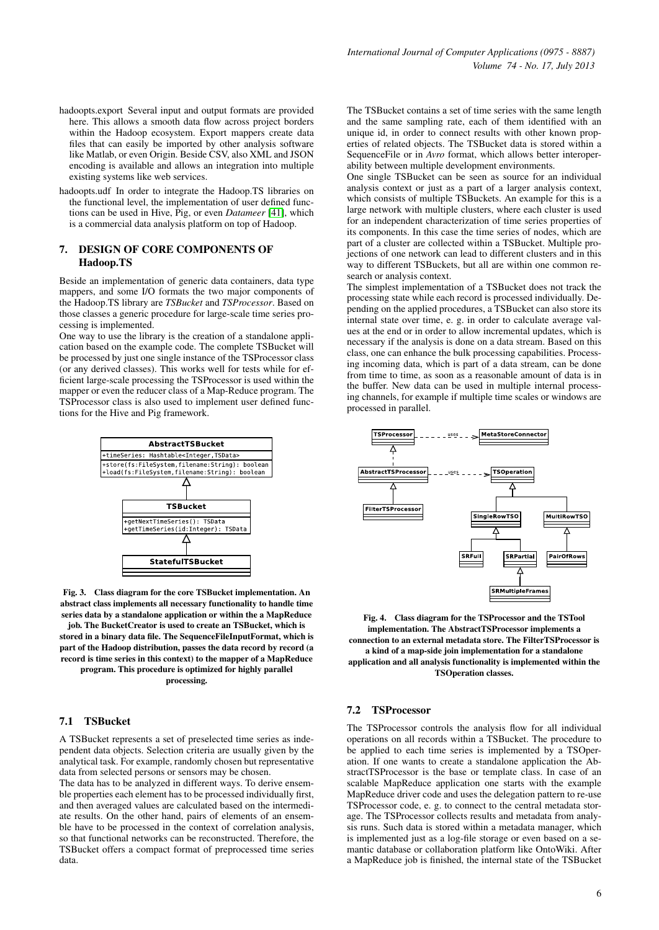- hadoopts.export Several input and output formats are provided here. This allows a smooth data flow across project borders within the Hadoop ecosystem. Export mappers create data files that can easily be imported by other analysis software like Matlab, or even Origin. Beside CSV, also XML and JSON encoding is available and allows an integration into multiple existing systems like web services.
- hadoopts.udf In order to integrate the Hadoop.TS libraries on the functional level, the implementation of user defined functions can be used in Hive, Pig, or even *Datameer* [\[41\]](#page-7-27), which is a commercial data analysis platform on top of Hadoop.

## 7. DESIGN OF CORE COMPONENTS OF Hadoop.TS

Beside an implementation of generic data containers, data type mappers, and some I/O formats the two major components of the Hadoop.TS library are *TSBucket* and *TSProcessor*. Based on those classes a generic procedure for large-scale time series processing is implemented.

One way to use the library is the creation of a standalone application based on the example code. The complete TSBucket will be processed by just one single instance of the TSProcessor class (or any derived classes). This works well for tests while for efficient large-scale processing the TSProcessor is used within the mapper or even the reducer class of a Map-Reduce program. The TSProcessor class is also used to implement user defined functions for the Hive and Pig framework.



Fig. 3. Class diagram for the core TSBucket implementation. An abstract class implements all necessary functionality to handle time series data by a standalone application or within the a MapReduce

job. The BucketCreator is used to create an TSBucket, which is stored in a binary data file. The SequenceFileInputFormat, which is part of the Hadoop distribution, passes the data record by record (a record is time series in this context) to the mapper of a MapReduce

program. This procedure is optimized for highly parallel processing.

## 7.1 TSBucket

A TSBucket represents a set of preselected time series as independent data objects. Selection criteria are usually given by the analytical task. For example, randomly chosen but representative data from selected persons or sensors may be chosen.

The data has to be analyzed in different ways. To derive ensemble properties each element has to be processed individually first, and then averaged values are calculated based on the intermediate results. On the other hand, pairs of elements of an ensemble have to be processed in the context of correlation analysis, so that functional networks can be reconstructed. Therefore, the TSBucket offers a compact format of preprocessed time series data.

The TSBucket contains a set of time series with the same length and the same sampling rate, each of them identified with an unique id, in order to connect results with other known properties of related objects. The TSBucket data is stored within a SequenceFile or in *Avro* format, which allows better interoperability between multiple development environments.

One single TSBucket can be seen as source for an individual analysis context or just as a part of a larger analysis context, which consists of multiple TSBuckets. An example for this is a large network with multiple clusters, where each cluster is used for an independent characterization of time series properties of its components. In this case the time series of nodes, which are part of a cluster are collected within a TSBucket. Multiple projections of one network can lead to different clusters and in this way to different TSBuckets, but all are within one common research or analysis context.

The simplest implementation of a TSBucket does not track the processing state while each record is processed individually. Depending on the applied procedures, a TSBucket can also store its internal state over time, e. g. in order to calculate average values at the end or in order to allow incremental updates, which is necessary if the analysis is done on a data stream. Based on this class, one can enhance the bulk processing capabilities. Processing incoming data, which is part of a data stream, can be done from time to time, as soon as a reasonable amount of data is in the buffer. New data can be used in multiple internal processing channels, for example if multiple time scales or windows are processed in parallel.



Fig. 4. Class diagram for the TSProcessor and the TSTool implementation. The AbstractTSProcessor implements a connection to an external metadata store. The FilterTSProcessor is a kind of a map-side join implementation for a standalone application and all analysis functionality is implemented within the TSOperation classes.

## 7.2 TSProcessor

The TSProcessor controls the analysis flow for all individual operations on all records within a TSBucket. The procedure to be applied to each time series is implemented by a TSOperation. If one wants to create a standalone application the AbstractTSProcessor is the base or template class. In case of an scalable MapReduce application one starts with the example MapReduce driver code and uses the delegation pattern to re-use TSProcessor code, e. g. to connect to the central metadata storage. The TSProcessor collects results and metadata from analysis runs. Such data is stored within a metadata manager, which is implemented just as a log-file storage or even based on a semantic database or collaboration platform like OntoWiki. After a MapReduce job is finished, the internal state of the TSBucket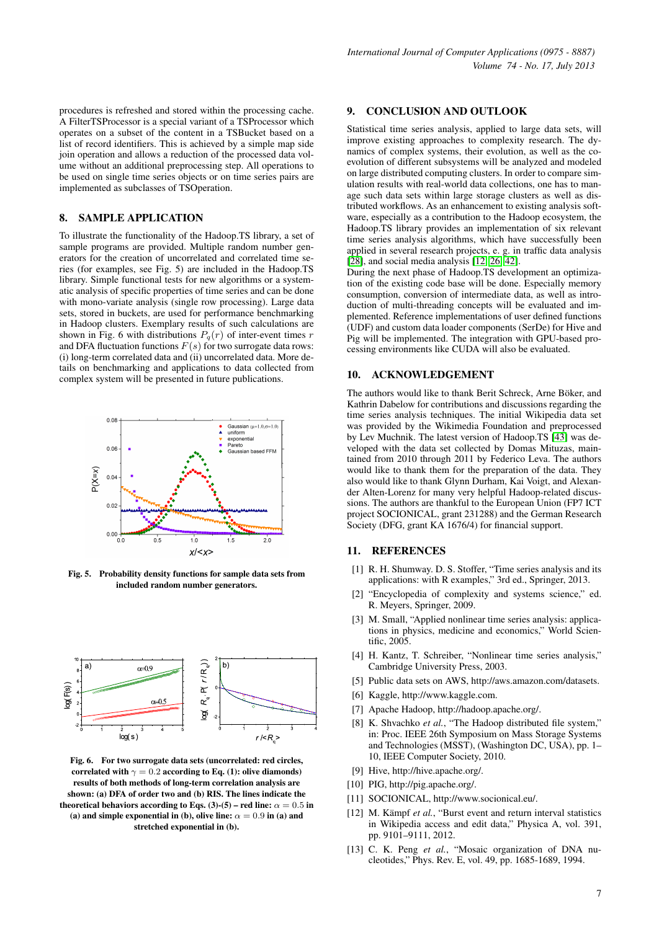procedures is refreshed and stored within the processing cache. A FilterTSProcessor is a special variant of a TSProcessor which operates on a subset of the content in a TSBucket based on a list of record identifiers. This is achieved by a simple map side join operation and allows a reduction of the processed data volume without an additional preprocessing step. All operations to be used on single time series objects or on time series pairs are implemented as subclasses of TSOperation.

#### 8. SAMPLE APPLICATION

To illustrate the functionality of the Hadoop.TS library, a set of sample programs are provided. Multiple random number generators for the creation of uncorrelated and correlated time series (for examples, see Fig. 5) are included in the Hadoop.TS library. Simple functional tests for new algorithms or a systematic analysis of specific properties of time series and can be done with mono-variate analysis (single row processing). Large data sets, stored in buckets, are used for performance benchmarking in Hadoop clusters. Exemplary results of such calculations are shown in Fig. 6 with distributions  $P_q(r)$  of inter-event times r and DFA fluctuation functions  $F(s)$  for two surrogate data rows: (i) long-term correlated data and (ii) uncorrelated data. More details on benchmarking and applications to data collected from complex system will be presented in future publications.



Fig. 5. Probability density functions for sample data sets from included random number generators.



Fig. 6. For two surrogate data sets (uncorrelated: red circles, correlated with  $\gamma = 0.2$  according to Eq. (1): olive diamonds) results of both methods of long-term correlation analysis are shown: (a) DFA of order two and (b) RIS. The lines indicate the theoretical behaviors according to Eqs. (3)-(5) – red line:  $\alpha = 0.5$  in (a) and simple exponential in (b), olive line:  $\alpha = 0.9$  in (a) and stretched exponential in (b).

#### 9. CONCLUSION AND OUTLOOK

Statistical time series analysis, applied to large data sets, will improve existing approaches to complexity research. The dynamics of complex systems, their evolution, as well as the coevolution of different subsystems will be analyzed and modeled on large distributed computing clusters. In order to compare simulation results with real-world data collections, one has to manage such data sets within large storage clusters as well as distributed workflows. As an enhancement to existing analysis software, especially as a contribution to the Hadoop ecosystem, the Hadoop.TS library provides an implementation of six relevant time series analysis algorithms, which have successfully been applied in several research projects, e. g. in traffic data analysis [\[28\]](#page-7-14), and social media analysis [\[12,](#page-6-11) [26,](#page-7-12) [42\]](#page-7-28).

During the next phase of Hadoop.TS development an optimization of the existing code base will be done. Especially memory consumption, conversion of intermediate data, as well as introduction of multi-threading concepts will be evaluated and implemented. Reference implementations of user defined functions (UDF) and custom data loader components (SerDe) for Hive and Pig will be implemented. The integration with GPU-based processing environments like CUDA will also be evaluated.

## 10. ACKNOWLEDGEMENT

The authors would like to thank Berit Schreck, Arne Böker, and Kathrin Dabelow for contributions and discussions regarding the time series analysis techniques. The initial Wikipedia data set was provided by the Wikimedia Foundation and preprocessed by Lev Muchnik. The latest version of Hadoop.TS [\[43\]](#page-7-29) was developed with the data set collected by Domas Mituzas, maintained from 2010 through 2011 by Federico Leva. The authors would like to thank them for the preparation of the data. They also would like to thank Glynn Durham, Kai Voigt, and Alexander Alten-Lorenz for many very helpful Hadoop-related discussions. The authors are thankful to the European Union (FP7 ICT project SOCIONICAL, grant 231288) and the German Research Society (DFG, grant KA 1676/4) for financial support.

## 11. REFERENCES

- <span id="page-6-0"></span>[1] R. H. Shumway. D. S. Stoffer, "Time series analysis and its applications: with R examples," 3rd ed., Springer, 2013.
- <span id="page-6-1"></span>[2] "Encyclopedia of complexity and systems science," ed. R. Meyers, Springer, 2009.
- <span id="page-6-2"></span>[3] M. Small, "Applied nonlinear time series analysis: applications in physics, medicine and economics," World Scientific, 2005.
- <span id="page-6-3"></span>[4] H. Kantz, T. Schreiber, "Nonlinear time series analysis," Cambridge University Press, 2003.
- <span id="page-6-4"></span>[5] Public data sets on AWS, http://aws.amazon.com/datasets.
- <span id="page-6-5"></span>[6] Kaggle, http://www.kaggle.com.
- <span id="page-6-6"></span>[7] Apache Hadoop, http://hadoop.apache.org/.
- <span id="page-6-7"></span>[8] K. Shvachko *et al.*, "The Hadoop distributed file system," in: Proc. IEEE 26th Symposium on Mass Storage Systems and Technologies (MSST), (Washington DC, USA), pp. 1– 10, IEEE Computer Society, 2010.
- <span id="page-6-8"></span>[9] Hive, http://hive.apache.org/.
- <span id="page-6-9"></span>[10] PIG, http://pig.apache.org/.
- <span id="page-6-10"></span>[11] SOCIONICAL, http://www.socionical.eu/.
- <span id="page-6-11"></span>[12] M. Kämpf et al., "Burst event and return interval statistics in Wikipedia access and edit data," Physica A, vol. 391, pp. 9101–9111, 2012.
- <span id="page-6-12"></span>[13] C. K. Peng et al., "Mosaic organization of DNA nucleotides," Phys. Rev. E, vol. 49, pp. 1685-1689, 1994.